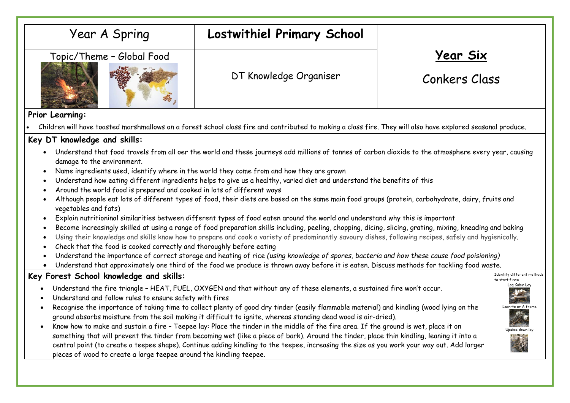